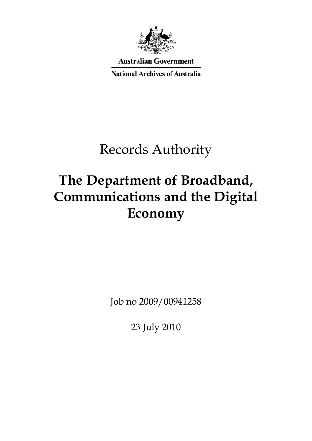

**Australian Government** 

**National Archives of Australia** 

# Records Authority

# **The Department of Broadband, Communications and the Digital Economy**

Job no 2009/00941258

23 July 2010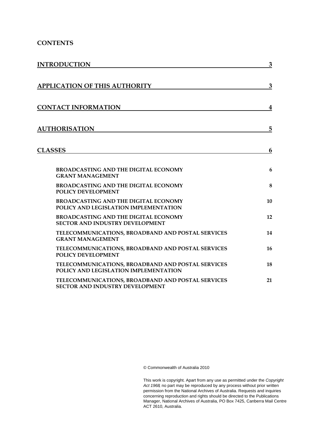#### **CONTENTS**

| <b>INTRODUCTION</b>                                                                         | $\mathbf{3}$     |
|---------------------------------------------------------------------------------------------|------------------|
|                                                                                             |                  |
| <b>APPLICATION OF THIS AUTHORITY</b>                                                        | 3                |
|                                                                                             |                  |
| <b>CONTACT INFORMATION</b>                                                                  | $\boldsymbol{4}$ |
|                                                                                             |                  |
| <b>AUTHORISATION</b>                                                                        | 5                |
|                                                                                             |                  |
| <b>CLASSES</b>                                                                              | 6                |
|                                                                                             |                  |
| <b>BROADCASTING AND THE DIGITAL ECONOMY</b>                                                 | 6                |
| <b>GRANT MANAGEMENT</b><br><b>BROADCASTING AND THE DIGITAL ECONOMY</b>                      | 8                |
| POLICY DEVELOPMENT                                                                          |                  |
| <b>BROADCASTING AND THE DIGITAL ECONOMY</b>                                                 | 10               |
| POLICY AND LEGISLATION IMPLEMENTATION                                                       | 12               |
| <b>BROADCASTING AND THE DIGITAL ECONOMY</b><br><b>SECTOR AND INDUSTRY DEVELOPMENT</b>       |                  |
| TELECOMMUNICATIONS, BROADBAND AND POSTAL SERVICES                                           | 14               |
| <b>GRANT MANAGEMENT</b>                                                                     | 16               |
| TELECOMMUNICATIONS, BROADBAND AND POSTAL SERVICES<br>POLICY DEVELOPMENT                     |                  |
| <b>TELECOMMUNICATIONS, BROADBAND AND POSTAL SERVICES</b>                                    | 18               |
| POLICY AND LEGISLATION IMPLEMENTATION                                                       |                  |
| TELECOMMUNICATIONS, BROADBAND AND POSTAL SERVICES<br><b>SECTOR AND INDUSTRY DEVELOPMENT</b> | 21               |

© Commonwealth of Australia 2010

This work is copyright. Apart from any use as permitted under the *Copyright Act 1968,* no part may be reproduced by any process without prior written permission from the National Archives of Australia. Requests and inquiries concerning reproduction and rights should be directed to the Publications Manager, National Archives of Australia, PO Box 7425, Canberra Mail Centre ACT 2610, Australia.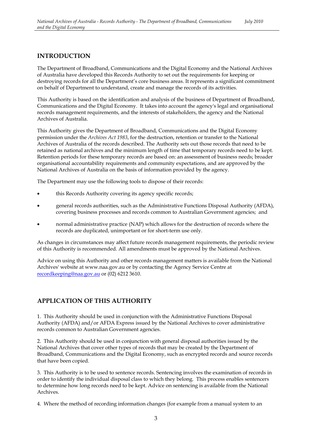### **INTRODUCTION**

The Department of Broadband, Communications and the Digital Economy and the National Archives of Australia have developed this Records Authority to set out the requirements for keeping or destroying records for all the Department's core business areas. It represents a significant commitment on behalf of Department to understand, create and manage the records of its activities.

This Authority is based on the identification and analysis of the business of Department of Broadband, Communications and the Digital Economy. It takes into account the agency's legal and organisational records management requirements, and the interests of stakeholders, the agency and the National Archives of Australia.

This Authority gives the Department of Broadband, Communications and the Digital Economy permission under the *Archives Act 1983*, for the destruction, retention or transfer to the National Archives of Australia of the records described. The Authority sets out those records that need to be retained as national archives and the minimum length of time that temporary records need to be kept. Retention periods for these temporary records are based on: an assessment of business needs; broader organisational accountability requirements and community expectations, and are approved by the National Archives of Australia on the basis of information provided by the agency.

The Department may use the following tools to dispose of their records:

- this Records Authority covering its agency specific records;
- general records authorities, such as the Administrative Functions Disposal Authority (AFDA), • general records authorities, such as the Administrative Functions Disposal Authority (AFDA), covering business processes and records common to Australian Government agencies; and
- normal administrative practice (NAP) which allows for the destruction of records where the records are duplicated, unimportant or for short-term use only.

As changes in circumstances may affect future records management requirements, the periodic review of this Authority is recommended. All amendments must be approved by the National Archives.

Advice on using this Authority and other records management matters is available from the National Archives' website at www.naa.gov.au or by contacting the Agency Service Centre at recordkeeping@naa.gov.au or (02) 6212 3610.

### **APPLICATION OF THIS AUTHORITY**

1. This Authority should be used in conjunction with the Administrative Functions Disposal Authority (AFDA) and/or AFDA Express issued by the National Archives to cover administrative records common to Australian Government agencies.

2. This Authority should be used in conjunction with general disposal authorities issued by the National Archives that cover other types of records that may be created by the Department of Broadband, Communications and the Digital Economy, such as encrypted records and source records that have been copied.

3. This Authority is to be used to sentence records. Sentencing involves the examination of records in order to identify the individual disposal class to which they belong. This process enables sentencers to determine how long records need to be kept. Advice on sentencing is available from the National Archives.

4. Where the method of recording information changes (for example from a manual system to an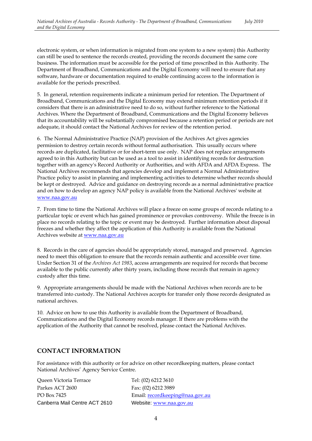electronic system, or when information is migrated from one system to a new system) this Authority can still be used to sentence the records created, providing the records document the same core business. The information must be accessible for the period of time prescribed in this Authority. The Department of Broadband, Communications and the Digital Economy will need to ensure that any software, hardware or documentation required to enable continuing access to the information is available for the periods prescribed.

5. In general, retention requirements indicate a minimum period for retention. The Department of Broadband, Communications and the Digital Economy may extend minimum retention periods if it considers that there is an administrative need to do so, without further reference to the National Archives. Where the Department of Broadband, Communications and the Digital Economy believes that its accountability will be substantially compromised because a retention period or periods are not adequate, it should contact the National Archives for review of the retention period.

 permission to destroy certain records without formal authorisation. This usually occurs where be kept or destroyed. Advice and guidance on destroying records as a normal administrative practice 6. The Normal Administrative Practice (NAP) provision of the Archives Act gives agencies records are duplicated, facilitative or for short-term use only. NAP does not replace arrangements agreed to in this Authority but can be used as a tool to assist in identifying records for destruction together with an agency's Record Authority or Authorities, and with AFDA and AFDA Express. The National Archives recommends that agencies develop and implement a Normal Administrative Practice policy to assist in planning and implementing activities to determine whether records should and on how to develop an agency NAP policy is available from the National Archives' website at www.naa.gov.au

 place no records relating to the topic or event may be destroyed. Further information about disposal 7. From time to time the National Archives will place a freeze on some groups of records relating to a particular topic or event which has gained prominence or provokes controversy. While the freeze is in freezes and whether they affect the application of this Authority is available from the National Archives website at www.naa.gov.au

 8. Records in the care of agencies should be appropriately stored, managed and preserved. Agencies need to meet this obligation to ensure that the records remain authentic and accessible over time. Under Section 31 of the *Archives Act 1983*, access arrangements are required for records that become available to the public currently after thirty years, including those records that remain in agency custody after this time.

9. Appropriate arrangements should be made with the National Archives when records are to be transferred into custody. The National Archives accepts for transfer only those records designated as national archives.

10. Advice on how to use this Authority is available from the Department of Broadband, Communications and the Digital Economy records manager. If there are problems with the application of the Authority that cannot be resolved, please contact the National Archives.

### **CONTACT INFORMATION**

For assistance with this authority or for advice on other recordkeeping matters, please contact National Archives' Agency Service Centre.

| Oueen Victoria Terrace        | Tel: (02) 6212 3610             |
|-------------------------------|---------------------------------|
| Parkes ACT 2600               | Fax: (02) 6212 3989             |
| PO Box 7425                   | Email: recordkeeping@naa.gov.au |
| Canberra Mail Centre ACT 2610 | Website: www.naa.gov.au         |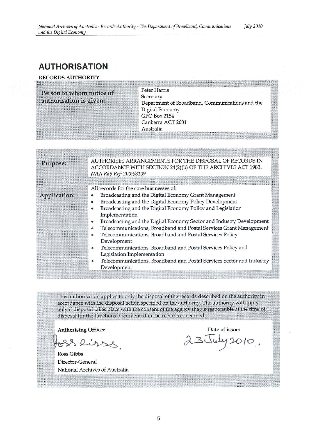### **AUTHORISATION**

#### RECORDS AUTHORITY

| Person to whom notice of<br>authorisation is given: | <b>Peter Harris</b><br>Secretary<br>Department of Broadband, Communications and the<br>Digital Economy<br><b>GPO Box 2154</b><br>Canberra ACT 2601<br>Australia                                                                                                                                                                                                                                                                                                                                                                                                                                                                        |  |
|-----------------------------------------------------|----------------------------------------------------------------------------------------------------------------------------------------------------------------------------------------------------------------------------------------------------------------------------------------------------------------------------------------------------------------------------------------------------------------------------------------------------------------------------------------------------------------------------------------------------------------------------------------------------------------------------------------|--|
| Purpose:                                            | AUTHORISES ARRANGEMENTS FOR THE DISPOSAL OF RECORDS IN<br>ACCORDANCE WITH SECTION 24(2)(b) OF THE ARCHIVES ACT 1983.<br>NAA RkS Ref: 2009/3109                                                                                                                                                                                                                                                                                                                                                                                                                                                                                         |  |
| Application:                                        | All records for the core businesses of:<br>Broadcasting and the Digital Economy Grant Management<br>۰<br>Broadcasting and the Digital Economy Policy Development<br>$\bullet$<br>Broadcasting and the Digital Economy Policy and Legislation<br>۰<br>Implementation<br>Broadcasting and the Digital Economy Sector and Industry Development<br>$\bullet$<br>Telecommunications, Broadband and Postal Services Grant Management<br>$\bullet$<br>Telecommunications, Broadband and Postal Services Policy<br>۰<br>Development<br>Telecommunications, Broadband and Postal Services Policy and<br>$\bullet$<br>Legislation Implementation |  |

Telecommunications, Broadband and Postal Services Sector and Industry Development

This authorisation applies to only the disposal of the records described on the authority in accordance with the disposal action specified on the authority. The authority will apply only if disposal takes place with the consent of the agency that is responsible at the time of disposal for the functions documented in the records concerned.

 $· $2.325$ .$ #

Ross Gibbs Director-General National Archives of Australia

Authorising Officer<br>88 Rives de 23 July 2010.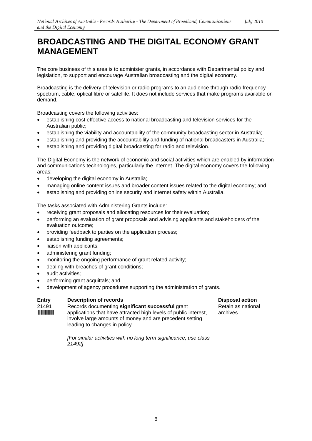## **BROADCASTING AND THE DIGITAL ECONOMY GRANT MANAGEMENT**

The core business of this area is to administer grants, in accordance with Departmental policy and legislation, to support and encourage Australian broadcasting and the digital economy.

Broadcasting is the delivery of television or radio programs to an audience through radio frequency spectrum, cable, optical fibre or satellite. It does not include services that make programs available on demand.

Broadcasting covers the following activities:

- establishing cost effective access to national broadcasting and television services for the Australian public;
- establishing the viability and accountability of the community broadcasting sector in Australia;
- establishing and providing the accountability and funding of national broadcasters in Australia;
- establishing and providing digital broadcasting for radio and television.

The Digital Economy is the network of economic and social activities which are enabled by information and communications technologies, particularly the internet. The digital economy covers the following areas:

- developing the digital economy in Australia;
- managing online content issues and broader content issues related to the digital economy; and
- establishing and providing online security and internet safety within Australia.

The tasks associated with Administering Grants include:

- receiving grant proposals and allocating resources for their evaluation;
- performing an evaluation of grant proposals and advising applicants and stakeholders of the evaluation outcome;
- providing feedback to parties on the application process;
- establishing funding agreements:
- liaison with applicants;
- administering grant funding;
- monitoring the ongoing performance of grant related activity;
- • dealing with breaches of grant conditions;
- audit activities:
- performing grant acquittals; and
- development of agency procedures supporting the administration of grants.

#### **Entry Description of records Disposal action Disposal action**

21491 Records documenting **significant successful** grant Retain as national **WINGER 1914914 INCORDER 191491-10 applications that have attracted high levels of public interest, archives** involve large amounts of money and are precedent setting leading to changes in policy.

*[For similar activities with no long term significance, use class 21492]*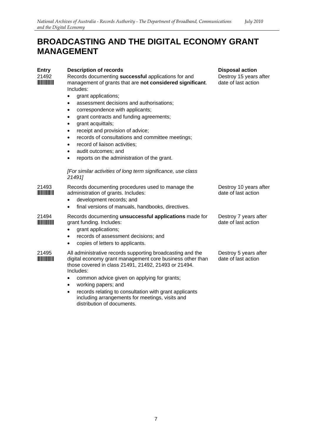## **BROADCASTING AND THE DIGITAL ECONOMY GRANT MANAGEMENT**

| <b>Entry</b>                  | <b>Description of records</b>                                                                                                                                                                | <b>Disposal action</b>                        |
|-------------------------------|----------------------------------------------------------------------------------------------------------------------------------------------------------------------------------------------|-----------------------------------------------|
| 21492                         | Records documenting successful applications for and<br>management of grants that are not considered significant.<br>Includes:                                                                | Destroy 15 years after<br>date of last action |
|                               | grant applications;                                                                                                                                                                          |                                               |
|                               | assessment decisions and authorisations;<br>٠                                                                                                                                                |                                               |
|                               | correspondence with applicants;<br>$\bullet$                                                                                                                                                 |                                               |
|                               | grant contracts and funding agreements;<br>$\bullet$                                                                                                                                         |                                               |
|                               | grant acquittals;                                                                                                                                                                            |                                               |
|                               | receipt and provision of advice;<br>$\bullet$                                                                                                                                                |                                               |
|                               | records of consultations and committee meetings;<br>$\bullet$                                                                                                                                |                                               |
|                               | record of liaison activities;<br>$\bullet$                                                                                                                                                   |                                               |
|                               | audit outcomes; and                                                                                                                                                                          |                                               |
|                               | reports on the administration of the grant.<br>٠                                                                                                                                             |                                               |
|                               | [For similar activities of long term significance, use class<br>21491]                                                                                                                       |                                               |
| 21493<br><b>The Community</b> | Records documenting procedures used to manage the<br>administration of grants. Includes:                                                                                                     | Destroy 10 years after<br>date of last action |
|                               | development records; and<br>$\bullet$                                                                                                                                                        |                                               |
|                               | final versions of manuals, handbooks, directives.<br>$\bullet$                                                                                                                               |                                               |
| 21494                         | Records documenting unsuccessful applications made for<br>grant funding. Includes:<br>grant applications;                                                                                    | Destroy 7 years after<br>date of last action  |
|                               | records of assessment decisions; and<br>٠                                                                                                                                                    |                                               |
|                               | copies of letters to applicants.<br>$\bullet$                                                                                                                                                |                                               |
| 21495                         | All administrative records supporting broadcasting and the<br>digital economy grant management core business other than<br>those covered in class 21491, 21492, 21493 or 21494.<br>Includes: | Destroy 5 years after<br>date of last action  |
|                               | common advice given on applying for grants;<br>$\bullet$                                                                                                                                     |                                               |
|                               | working papers; and<br>$\bullet$                                                                                                                                                             |                                               |
|                               | records relating to consultation with grant applicants<br>including arrangements for meetings, visits and                                                                                    |                                               |

distribution of documents.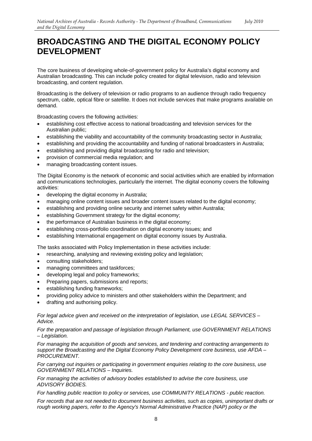## **BROADCASTING AND THE DIGITAL ECONOMY POLICY DEVELOPMENT**

The core business of developing whole-of-government policy for Australia's digital economy and Australian broadcasting. This can include policy created for digital television, radio and television broadcasting, and content regulation.

Broadcasting is the delivery of television or radio programs to an audience through radio frequency spectrum, cable, optical fibre or satellite. It does not include services that make programs available on demand.

Broadcasting covers the following activities:

- establishing cost effective access to national broadcasting and television services for the Australian public;
- establishing the viability and accountability of the community broadcasting sector in Australia;
- establishing and providing the accountability and funding of national broadcasters in Australia;
- establishing and providing digital broadcasting for radio and television;
- provision of commercial media regulation; and
- managing broadcasting content issues.

The Digital Economy is the network of economic and social activities which are enabled by information and communications technologies, particularly the internet. The digital economy covers the following activities:

- developing the digital economy in Australia;
- managing online content issues and broader content issues related to the digital economy;
- establishing and providing online security and internet safety within Australia;
- establishing Government strategy for the digital economy;
- the performance of Australian business in the digital economy;
- establishing cross-portfolio coordination on digital economy issues; and
- establishing International engagement on digital economy issues by Australia.

The tasks associated with Policy Implementation in these activities include:

- researching, analysing and reviewing existing policy and legislation;
- consulting stakeholders;
- managing committees and taskforces;
- developing legal and policy frameworks;
- Preparing papers, submissions and reports;
- establishing funding frameworks;
- providing policy advice to ministers and other stakeholders within the Department; and
- drafting and authorising policy.

*For legal advice given and received on the interpretation of legislation, use LEGAL SERVICES – Advice.* 

*For the preparation and passage of legislation through Parliament, use GOVERNMENT RELATIONS – Legislation.* 

*For managing the acquisition of goods and services, and tendering and contracting arrangements to support the Broadcasting and the Digital Economy Policy Development core business, use AFDA – PROCUREMENT.* 

*For carrying out inquiries or participating in government enquiries relating to the core business, use GOVERNMENT RELATIONS – Inquiries.* 

*For managing the activities of advisory bodies established to advise the core business, use ADVISORY BODIES.* 

*For handling public reaction to policy or services, use COMMUNITY RELATIONS - public reaction.* 

*For records that are not needed to document business activities, such as copies, unimportant drafts or rough working papers, refer to the Agency's Normal Administrative Practice (NAP) policy or the*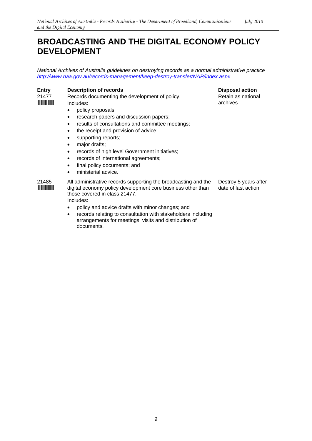### **BROADCASTING AND THE DIGITAL ECONOMY POLICY DEVELOPMENT**

*National Archives of Australia guidelines on destroying records as a normal administrative practice http://www.naa.gov.au/records-management/keep-destroy-transfer/NAP/index.aspx* 

**Entry Description of records** 

21477 \*21477\*

Records documenting the development of policy. Includes:

- policy proposals;
- research papers and discussion papers;
- results of consultations and committee meetings;
- the receipt and provision of advice;
- supporting reports;
- major drafts;
- records of high level Government initiatives;
- records of international agreements;
- final policy documents; and
- ministerial advice.

21485 \*21485\* All administrative records supporting the broadcasting and the digital economy policy development core business other than those covered in class 21477. Includes: Destroy 5 years after date of last action

- policy and advice drafts with minor changes; and
- records relating to consultation with stakeholders including arrangements for meetings, visits and distribution of documents.

**Disposal action** 

Retain as national archives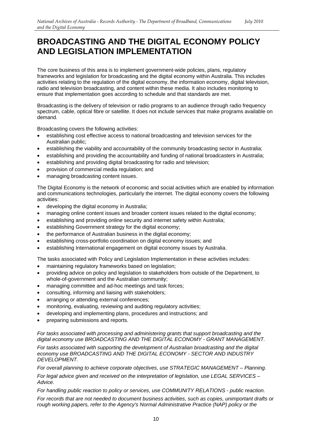## **BROADCASTING AND THE DIGITAL ECONOMY POLICY AND LEGISLATION IMPLEMENTATION**

The core business of this area is to implement government-wide policies, plans, regulatory frameworks and legislation for broadcasting and the digital economy within Australia. This includes activities relating to the regulation of the digital economy, the information economy, digital television, radio and television broadcasting, and content within these media. It also includes monitoring to ensure that implementation goes according to schedule and that standards are met.

Broadcasting is the delivery of television or radio programs to an audience through radio frequency spectrum, cable, optical fibre or satellite. It does not include services that make programs available on demand.

Broadcasting covers the following activities:

- establishing cost effective access to national broadcasting and television services for the Australian public;
- establishing the viability and accountability of the community broadcasting sector in Australia;
- establishing and providing the accountability and funding of national broadcasters in Australia;
- establishing and providing digital broadcasting for radio and television;
- provision of commercial media regulation; and
- managing broadcasting content issues.

The Digital Economy is the network of economic and social activities which are enabled by information and communications technologies, particularly the internet. The digital economy covers the following activities:

- developing the digital economy in Australia;
- managing online content issues and broader content issues related to the digital economy;
- establishing and providing online security and internet safety within Australia;
- establishing Government strategy for the digital economy;
- the performance of Australian business in the digital economy;
- establishing cross-portfolio coordination on digital economy issues; and
- establishing International engagement on digital economy issues by Australia.

The tasks associated with Policy and Legislation Implementation in these activities includes:

- maintaining regulatory frameworks based on legislation;
- providing advice on policy and legislation to stakeholders from outside of the Department, to whole-of-government and the Australian community;
- managing committee and ad-hoc meetings and task forces;
- consulting, informing and liaising with stakeholders;
- arranging or attending external conferences;
- monitoring, evaluating, reviewing and auditing regulatory activities;
- developing and implementing plans, procedures and instructions; and
- preparing submissions and reports.

#### *For tasks associated with processing and administering grants that support broadcasting and the digital economy use BROADCASTING AND THE DIGITAL ECONOMY - GRANT MANAGEMENT.*

*For tasks associated with supporting the development of Australian broadcasting and the digital economy use BROADCASTING AND THE DIGITAL ECONOMY - SECTOR AND INDUSTRY DEVELOPMENT.* 

*For overall planning to achieve corporate objectives, use STRATEGIC MANAGEMENT – Planning.* 

*For legal advice given and received on the interpretation of legislation, use LEGAL SERVICES – Advice.* 

*For handling public reaction to policy or services, use COMMUNITY RELATIONS - public reaction.* 

*For records that are not needed to document business activities, such as copies, unimportant drafts or rough working papers, refer to the Agency's Normal Administrative Practice (NAP) policy or the*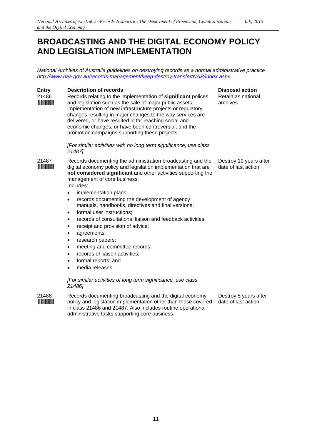### **BROADCASTING AND THE DIGITAL ECONOMY POLICY AND LEGISLATION IMPLEMENTATION**

*National Archives of Australia guidelines on destroying records as a normal administrative practice http://www.naa.gov.au/records-management/keep-destroy-transfer/NAP/index.aspx.* 

**Disposal action** 

#### **Entry Description of records**

21486 Records relating to the implementation of **significant** polices and legislation such as the sale of major public assets, implementation of new infrastructure projects or regulatory changes resulting in major changes to the way services are delivered, or have resulted in far reaching social and economic changes, or have been controversial, and the promotion campaigns supporting these projects. Retain as national archives

> *[For similar activities with no long term significance, use class 21487]*

21487 Records documenting the administration broadcasting and the **WINNIMINI** digital economy policy and legislation implementation that are **not considered significant** and other activities supporting the management of core business. Includes: Destroy 10 years after date of last action

- implementation plans;
- records documenting the development of agency manuals, handbooks, directives and final versions;
- formal user instructions:
- records of consultations, liaison and feedback activities;
- receipt and provision of advice;
- agreements;
- research papers;
- meeting and committee records;
- records of liaison activities;
- formal reports; and
- media releases.

*[For similar activities of long term significance, use class 21486]* 

21488 Records documenting broadcasting and the digital economy<br>**IMMINING** policy and legislation implementation other than those cover policy and legislation implementation other than those covered in class 21486 and 21487. Also includes routine operational administrative tasks supporting core business. Destroy 5 years after date of last action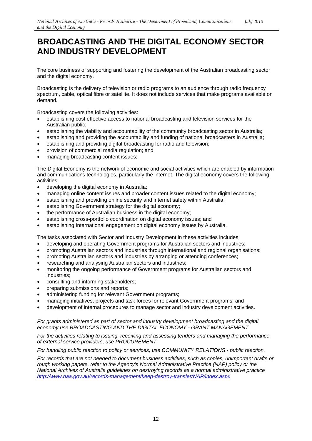### **BROADCASTING AND THE DIGITAL ECONOMY SECTOR AND INDUSTRY DEVELOPMENT**

The core business of supporting and fostering the development of the Australian broadcasting sector and the digital economy.

Broadcasting is the delivery of television or radio programs to an audience through radio frequency spectrum, cable, optical fibre or satellite. It does not include services that make programs available on demand.

Broadcasting covers the following activities:

- establishing cost effective access to national broadcasting and television services for the Australian public;
- establishing the viability and accountability of the community broadcasting sector in Australia;
- establishing and providing the accountability and funding of national broadcasters in Australia;
- establishing and providing digital broadcasting for radio and television;
- • provision of commercial media regulation; and
- managing broadcasting content issues;

The Digital Economy is the network of economic and social activities which are enabled by information and communications technologies, particularly the internet. The digital economy covers the following activities:

- developing the digital economy in Australia;
- managing online content issues and broader content issues related to the digital economy;
- establishing and providing online security and internet safety within Australia:
- establishing Government strategy for the digital economy;
- the performance of Australian business in the digital economy;
- establishing cross-portfolio coordination on digital economy issues; and
- establishing International engagement on digital economy issues by Australia.

The tasks associated with Sector and Industry Development in these activities includes:

- developing and operating Government programs for Australian sectors and industries;
- promoting Australian sectors and industries through international and regional organisations;
- promoting Australian sectors and industries by arranging or attending conferences;
- researching and analysing Australian sectors and industries;
- monitoring the ongoing performance of Government programs for Australian sectors and industries;
- consulting and informing stakeholders;
- preparing submissions and reports;
- administering funding for relevant Government programs;
- managing initiatives, projects and task forces for relevant Government programs; and
- development of internal procedures to manage sector and industry development activities.

#### *For grants administered as part of sector and industry development broadcasting and the digital economy use BROADCASTING AND THE DIGITAL ECONOMY - GRANT MANAGEMENT.*

*For the activities relating to issuing, receiving and assessing tenders and managing the performance of external service providers, use PROCUREMENT.* 

*For handling public reaction to policy or services, use COMMUNITY RELATIONS - public reaction.* 

*For records that are not needed to document business activities, such as copies, unimportant drafts or rough working papers, refer to the Agency's Normal Administrative Practice (NAP) policy or the National Archives of Australia guidelines on destroying records as a normal administrative practice http://www.naa.gov.au/records-management/keep-destroy-transfer/NAP/index.aspx*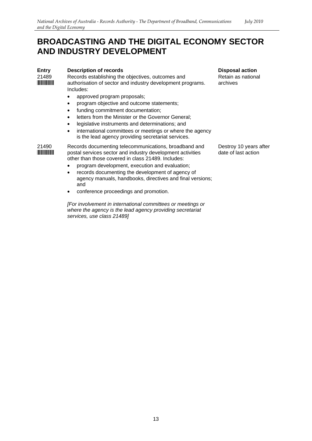### **BROADCASTING AND THE DIGITAL ECONOMY SECTOR AND INDUSTRY DEVELOPMENT**

| <b>Entry</b><br>21489 | <b>Description of records</b><br>Records establishing the objectives, outcomes and<br>authorisation of sector and industry development programs.<br>Includes:<br>approved program proposals;<br>program objective and outcome statements;<br>٠<br>funding commitment documentation;<br>٠<br>letters from the Minister or the Governor General;<br>$\bullet$<br>legislative instruments and determinations; and<br>٠<br>international committees or meetings or where the agency<br>$\bullet$<br>is the lead agency providing secretariat services. | <b>Disposal action</b><br>Retain as nationa<br>archives |
|-----------------------|----------------------------------------------------------------------------------------------------------------------------------------------------------------------------------------------------------------------------------------------------------------------------------------------------------------------------------------------------------------------------------------------------------------------------------------------------------------------------------------------------------------------------------------------------|---------------------------------------------------------|
| 21490                 | Records documenting telecommunications, broadband and<br>postal services sector and industry development activities<br>other than those covered in class 21489. Includes:<br>program development, execution and evaluation;                                                                                                                                                                                                                                                                                                                        | Destroy 10 years<br>date of last action                 |
|                       | records documenting the development of agency of<br>$\bullet$<br>agency manuals, handbooks, directives and final versions;<br>and                                                                                                                                                                                                                                                                                                                                                                                                                  |                                                         |

• conference proceedings and promotion.

*[For involvement in international committees or meetings or where the agency is the lead agency providing secretariat services, use class 21489]* 

ational

ears after action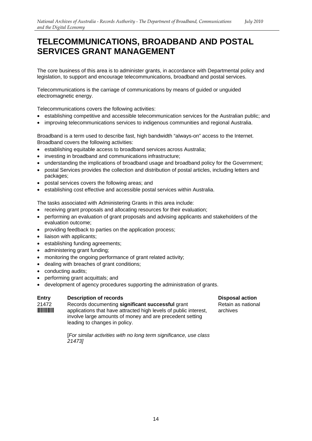### **TELECOMMUNICATIONS, BROADBAND AND POSTAL SERVICES GRANT MANAGEMENT**

The core business of this area is to administer grants, in accordance with Departmental policy and legislation, to support and encourage telecommunications, broadband and postal services.

Telecommunications is the carriage of communications by means of guided or unguided electromagnetic energy.

Telecommunications covers the following activities:

- establishing competitive and accessible telecommunication services for the Australian public; and
- improving telecommunications services to indigenous communities and regional Australia.

Broadband is a term used to describe fast, high bandwidth "always-on" access to the Internet. Broadband covers the following activities:

- establishing equitable access to broadband services across Australia;
- investing in broadband and communications infrastructure;
- understanding the implications of broadband usage and broadband policy for the Government;
- postal Services provides the collection and distribution of postal articles, including letters and packages;
- postal services covers the following areas; and
- establishing cost effective and accessible postal services within Australia.

The tasks associated with Administering Grants in this area include:

- receiving grant proposals and allocating resources for their evaluation;
- performing an evaluation of grant proposals and advising applicants and stakeholders of the evaluation outcome;
- providing feedback to parties on the application process;
- liaison with applicants;
- establishing funding agreements;
- administering grant funding;
- monitoring the ongoing performance of grant related activity;
- dealing with breaches of grant conditions;
- conducting audits;
- performing grant acquittals; and
- development of agency procedures supporting the administration of grants.

#### **Entry Description of records Disposal action Disposal action**

21472 Records documenting **significant successful** grant Retain as national **WINTERFIFE Applications that have attracted high levels of public interest, archives** involve large amounts of money and are precedent setting leading to changes in policy.

[*For similar activities with no long term significance, use class 21473]*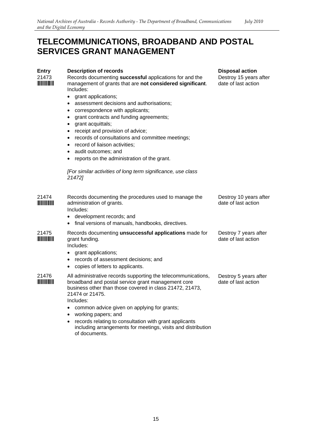### **TELECOMMUNICATIONS, BROADBAND AND POSTAL SERVICES GRANT MANAGEMENT**

| <b>Entry</b><br>21473 | <b>Description of records</b><br>Records documenting successful applications for and the<br>management of grants that are not considered significant.<br>Includes:<br>• grant applications;<br>assessment decisions and authorisations;<br>$\bullet$<br>correspondence with applicants;<br>$\bullet$<br>grant contracts and funding agreements;<br>$\bullet$<br>grant acquittals;<br>$\bullet$<br>receipt and provision of advice;<br>٠<br>records of consultations and committee meetings;<br>$\bullet$<br>record of liaison activities;<br>audit outcomes; and<br>$\bullet$<br>reports on the administration of the grant.<br>$\bullet$<br>[For similar activities of long term significance, use class<br>21472] | <b>Disposal action</b><br>Destroy 15 years after<br>date of last action |
|-----------------------|---------------------------------------------------------------------------------------------------------------------------------------------------------------------------------------------------------------------------------------------------------------------------------------------------------------------------------------------------------------------------------------------------------------------------------------------------------------------------------------------------------------------------------------------------------------------------------------------------------------------------------------------------------------------------------------------------------------------|-------------------------------------------------------------------------|
| 21474                 | Records documenting the procedures used to manage the<br>administration of grants.<br>Includes:<br>• development records; and<br>final versions of manuals, handbooks, directives.<br>$\bullet$                                                                                                                                                                                                                                                                                                                                                                                                                                                                                                                     | Destroy 10 years after<br>date of last action                           |
| 21475                 | Records documenting unsuccessful applications made for<br>grant funding.<br>Includes:<br>• grant applications;<br>records of assessment decisions; and<br>$\bullet$<br>copies of letters to applicants.<br>$\bullet$                                                                                                                                                                                                                                                                                                                                                                                                                                                                                                | Destroy 7 years after<br>date of last action                            |
| 21476                 | All administrative records supporting the telecommunications,<br>broadband and postal service grant management core<br>business other than those covered in class 21472, 21473,<br>21474 or 21475.<br>Includes:<br>common advice given on applying for grants;<br>$\bullet$<br>working papers; and<br>records relating to consultation with grant applicants<br>$\bullet$<br>including arrangements for meetings, visits and distribution<br>of documents.                                                                                                                                                                                                                                                          | Destroy 5 years after<br>date of last action                            |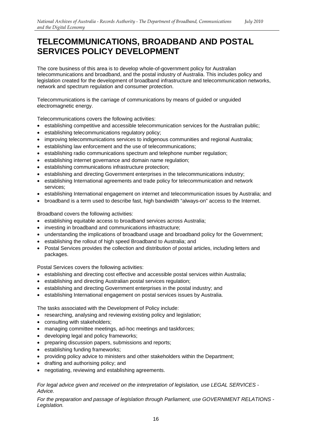## **TELECOMMUNICATIONS, BROADBAND AND POSTAL SERVICES POLICY DEVELOPMENT**

The core business of this area is to develop whole-of-government policy for Australian telecommunications and broadband, and the postal industry of Australia. This includes policy and legislation created for the development of broadband infrastructure and telecommunication networks, network and spectrum regulation and consumer protection.

Telecommunications is the carriage of communications by means of guided or unguided electromagnetic energy.

Telecommunications covers the following activities:

- establishing competitive and accessible telecommunication services for the Australian public;
- establishing telecommunications regulatory policy;
- improving telecommunications services to indigenous communities and regional Australia;
- establishing law enforcement and the use of telecommunications;
- establishing radio communications spectrum and telephone number regulation;
- establishing internet governance and domain name regulation;
- establishing communications infrastructure protection;
- establishing and directing Government enterprises in the telecommunications industry;
- establishing International agreements and trade policy for telecommunication and network services;
- • establishing International engagement on internet and telecommunication issues by Australia; and
- • broadband is a term used to describe fast, high bandwidth "always-on" access to the Internet.

Broadband covers the following activities:

- establishing equitable access to broadband services across Australia;
- investing in broadband and communications infrastructure;
- understanding the implications of broadband usage and broadband policy for the Government;
- establishing the rollout of high speed Broadband to Australia; and
- Postal Services provides the collection and distribution of postal articles, including letters and packages.

Postal Services covers the following activities:

- establishing and directing cost effective and accessible postal services within Australia;
- establishing and directing Australian postal services regulation;
- establishing and directing Government enterprises in the postal industry; and
- establishing International engagement on postal services issues by Australia.

The tasks associated with the Development of Policy include:

- researching, analysing and reviewing existing policy and legislation;
- consulting with stakeholders:
- managing committee meetings, ad-hoc meetings and taskforces;
- developing legal and policy frameworks;
- preparing discussion papers, submissions and reports;
- establishing funding frameworks;
- providing policy advice to ministers and other stakeholders within the Department;
- • drafting and authorising policy; and
- negotiating, reviewing and establishing agreements.

*For legal advice given and received on the interpretation of legislation, use LEGAL SERVICES - Advice.* 

*For the preparation and passage of legislation through Parliament, use GOVERNMENT RELATIONS - Legislation.*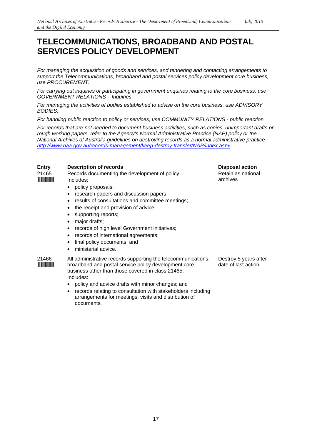### **TELECOMMUNICATIONS, BROADBAND AND POSTAL SERVICES POLICY DEVELOPMENT**

*For managing the acquisition of goods and services, and tendering and contacting arrangements to support the Telecommunications, broadband and postal services policy development core business, use PROCUREMENT.* 

*For carrying out inquiries or participating in government enquiries relating to the core business, use GOVERNMENT RELATIONS – Inquiries.* 

*For managing the activities of bodies established to advise on the core business, use ADVISORY BODIES.* 

*For handling public reaction to policy or services, use COMMUNITY RELATIONS - public reaction.* 

*For records that are not needed to document business activities, such as copies, unimportant drafts or rough working papers, refer to the Agency's Normal Administrative Practice (NAP) policy or the National Archives of Australia guidelines on destroying records as a normal administrative practice http://www.naa.gov.au/records-management/keep-destroy-transfer/NAP/index.aspx* 

#### **Entry Description of records**  21465 Records documenting the development of policy. **WINNING** Includes: • policy proposals;

- 
- research papers and discussion papers;
- results of consultations and committee meetings;
- the receipt and provision of advice;
- supporting reports;
- maior drafts:
- records of high level Government initiatives;
- records of international agreements;
- final policy documents; and
- ministerial advice.

21466 All administrative records supporting the telecommunications, **INFIFIFIFIFITE:** broadband and postal service policy development core business other than those covered in class 21465. Includes:

- policy and advice drafts with minor changes; and
- records relating to consultation with stakeholders including arrangements for meetings, visits and distribution of documents.

**Disposal action**  Retain as national archives

Destroy 5 years after date of last action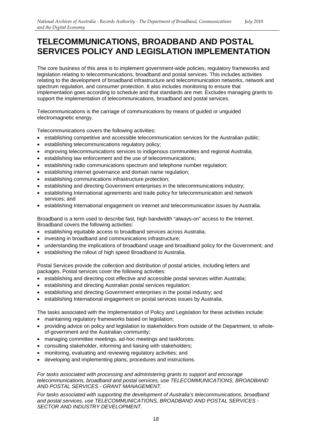## **TELECOMMUNICATIONS, BROADBAND AND POSTAL SERVICES POLICY AND LEGISLATION IMPLEMENTATION**

The core business of this area is to implement government-wide policies, regulatory frameworks and legislation relating to telecommunications, broadband and postal services. This includes activities relating to the development of broadband infrastructure and telecommunication networks, network and spectrum regulation, and consumer protection. It also includes monitoring to ensure that implementation goes according to schedule and that standards are met. Excludes managing grants to support the implementation of telecommunications, broadband and postal services.

Telecommunications is the carriage of communications by means of guided or unguided electromagnetic energy.

Telecommunications covers the following activities:

- establishing competitive and accessible telecommunication services for the Australian public;
- • establishing telecommunications regulatory policy;
- improving telecommunications services to indigenous communities and regional Australia;
- establishing law enforcement and the use of telecommunications;
- establishing radio communications spectrum and telephone number regulation;
- establishing internet governance and domain name regulation;
- establishing communications infrastructure protection;
- establishing and directing Government enterprises in the telecommunications industry;
- establishing International agreements and trade policy for telecommunication and network services; and
- • establishing International engagement on internet and telecommunication issues by Australia.

Broadband is a term used to describe fast, high bandwidth "always-on" access to the Internet. Broadband covers the following activities:

- establishing equitable access to broadband services across Australia;
- investing in broadband and communications infrastructure;
- understanding the implications of broadband usage and broadband policy for the Government; and
- establishing the rollout of high speed Broadband to Australia.

Postal Services provide the collection and distribution of postal articles, including letters and packages. Postal services cover the following activities:

- establishing and directing cost effective and accessible postal services within Australia;
- establishing and directing Australian postal services regulation:
- establishing and directing Government enterprises in the postal industry; and
- establishing International engagement on postal services issues by Australia.

The tasks associated with the Implementation of Policy and Legislation for these activities include:

- maintaining regulatory frameworks based on legislation:
- providing advice on policy and legislation to stakeholders from outside of the Department, to wholeof-government and the Australian community;
- managing committee meetings, ad-hoc meetings and taskforces;
- consulting stakeholder, informing and liaising with stakeholders;
- monitoring, evaluating and reviewing regulatory activities; and
- developing and implementing plans, procedures and instructions.

*For tasks associated with processing and administering grants to support and encourage telecommunications, broadband and postal services, use TELECOMMUNICATIONS, BROADBAND AND POSTAL SERVICES - GRANT MANAGEMENT.* 

*For tasks associated with supporting the development of Australia's telecommunications, broadband and postal services, use TELECOMMUNICATIONS, BROADBAND AND POSTAL SERVICES - SECTOR AND INDUSTRY DEVELOPMENT.*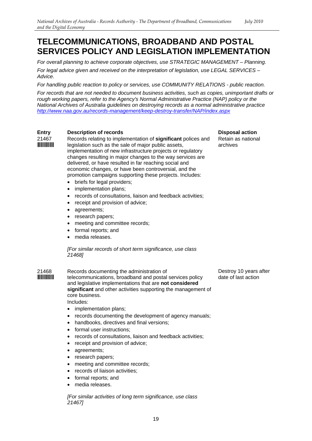## **TELECOMMUNICATIONS, BROADBAND AND POSTAL SERVICES POLICY AND LEGISLATION IMPLEMENTATION**

*For overall planning to achieve corporate objectives, use STRATEGIC MANAGEMENT – Planning. For legal advice given and received on the interpretation of legislation, use LEGAL SERVICES – Advice.* 

*For handling public reaction to policy or services, use COMMUNITY RELATIONS - public reaction.* 

*For records that are not needed to document business activities, such as copies, unimportant drafts or rough working papers, refer to the Agency's Normal Administrative Practice (NAP) policy or the National Archives of Australia guidelines on destroying records as a normal administrative practice http://www.naa.gov.au/records-management/keep-destroy-transfer/NAP/index.aspx* 

#### **Entry Description of records**

21467 Records relating to implementation of **significant** polices and **WILLIANGE:** legislation such as the sale of major public assets, implementation of new infrastructure projects or regulatory changes resulting in major changes to the way services are delivered, or have resulted in far reaching social and economic changes, or have been controversial, and the promotion campaigns supporting these projects. Includes:

- briefs for legal providers;
- implementation plans;
- records of consultations, liaison and feedback activities;
- receipt and provision of advice;
- agreements:
- research papers;
- meeting and committee records;
- formal reports; and
- media releases.

*[For similar records of short term significance, use class 21468]* 

core business.<br>Includes: 21468 Records documenting the administration of **WINGER 1988 THE EXAMPLE SERVICES SERVICES** telecommunications, broadband and postal services policy and legislative implementations that are **not considered significant** and other activities supporting the management of

- implementation plans;
- records documenting the development of agency manuals;
- handbooks, directives and final versions;
- formal user instructions:
- records of consultations, liaison and feedback activities;
- receipt and provision of advice;
- agreements;
- research papers;
- meeting and committee records;
- records of liaison activities;
- formal reports; and
- media releases.

*[For similar activities of long term significance, use class 21467]* 

**Disposal action**  Retain as national archives

Destroy 10 years after date of last action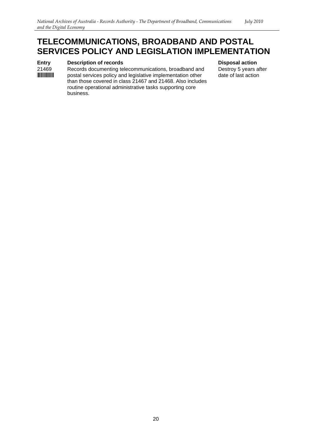### **TELECOMMUNICATIONS, BROADBAND AND POSTAL SERVICES POLICY AND LEGISLATION IMPLEMENTATION**

#### **Entry** Description of records Disposal action **Disposal action**

21469 Records documenting telecommunications, broadband and Destroy 5 years after<br> **INTIFINITY Proposes Exercise** policy and legislative implementation other date of last action postal services policy and legislative implementation other date of last action than those covered in class 21467 and 21468. Also includes routine operational administrative tasks supporting core business.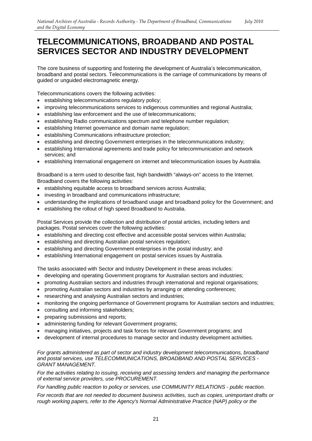### **TELECOMMUNICATIONS, BROADBAND AND POSTAL SERVICES SECTOR AND INDUSTRY DEVELOPMENT**

The core business of supporting and fostering the development of Australia's telecommunication, broadband and postal sectors. Telecommunications is the carriage of communications by means of guided or unguided electromagnetic energy.

Telecommunications covers the following activities:

- • establishing telecommunications regulatory policy;
- improving telecommunications services to indigenous communities and regional Australia;
- establishing law enforcement and the use of telecommunications;
- establishing Radio communications spectrum and telephone number regulation;
- establishing Internet governance and domain name regulation;
- establishing Communications infrastructure protection;
- establishing and directing Government enterprises in the telecommunications industry;
- establishing International agreements and trade policy for telecommunication and network services; and
- establishing International engagement on internet and telecommunication issues by Australia.

Broadband is a term used to describe fast, high bandwidth "always-on" access to the Internet. Broadband covers the following activities:

- establishing equitable access to broadband services across Australia;
- investing in broadband and communications infrastructure;
- understanding the implications of broadband usage and broadband policy for the Government; and
- establishing the rollout of high speed Broadband to Australia.

Postal Services provide the collection and distribution of postal articles, including letters and packages. Postal services cover the following activities:

- establishing and directing cost effective and accessible postal services within Australia;
- establishing and directing Australian postal services regulation;
- establishing and directing Government enterprises in the postal industry; and
- establishing International engagement on postal services issues by Australia.

The tasks associated with Sector and Industry Development in these areas includes:

- developing and operating Government programs for Australian sectors and industries;
- promoting Australian sectors and industries through international and regional organisations;
- promoting Australian sectors and industries by arranging or attending conferences;
- researching and analysing Australian sectors and industries;
- monitoring the ongoing performance of Government programs for Australian sectors and industries;
- consulting and informing stakeholders;
- preparing submissions and reports;
- administering funding for relevant Government programs;
- managing initiatives, projects and task forces for relevant Government programs; and
- development of internal procedures to manage sector and industry development activities.

*For grants administered as part of sector and industry development telecommunications, broadband and postal services, use TELECOMMUNICATIONS, BROADBAND AND POSTAL SERVICES - GRANT MANAGEMENT.* 

*For the activities relating to issuing, receiving and assessing tenders and managing the performance of external service providers, use PROCUREMENT.* 

*For handling public reaction to policy or services, use COMMUNITY RELATIONS - public reaction.* 

*For records that are not needed to document business activities, such as copies, unimportant drafts or rough working papers, refer to the Agency's Normal Administrative Practice (NAP) policy or the*